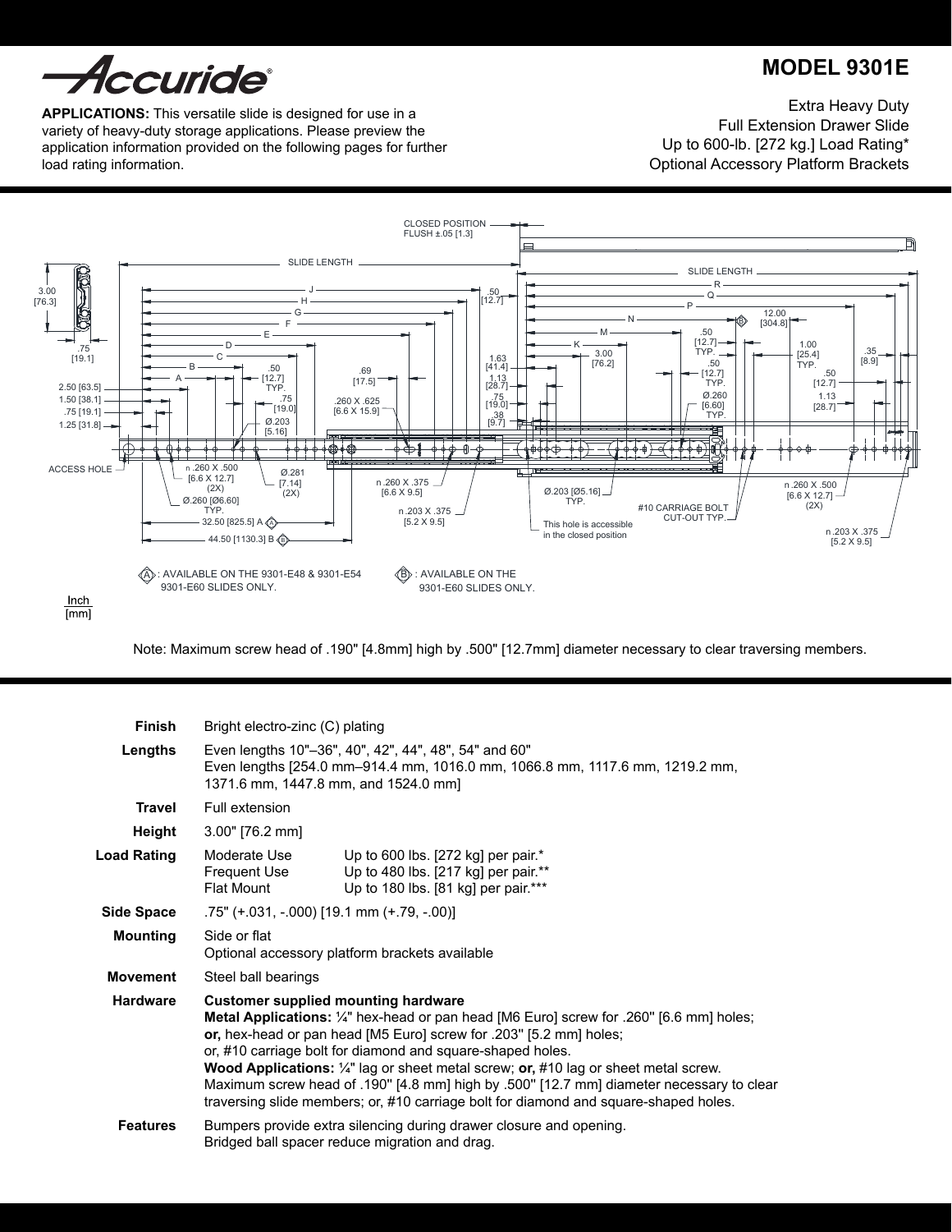

# **MODEL 9301e**

**APPLICATIONS:** This versatile slide is designed for use in a variety of heavy-duty storage applications. Please preview the application information provided on the following pages for further load rating information.

Extra Heavy Duty Full Extension Drawer Slide Up to 600-lb. [272 kg.] Load Rating\* Optional Accessory Platform Brackets



Note: Maximum screw head of .190" [4.8mm] high by .500" [12.7mm] diameter necessary to clear traversing members.

| <b>Finish</b>      | Bright electro-zinc (C) plating                                                                                                                                                                                                                                                                                                                                                                                                                                                                                                                                        |                                                                                                                  |  |  |  |  |
|--------------------|------------------------------------------------------------------------------------------------------------------------------------------------------------------------------------------------------------------------------------------------------------------------------------------------------------------------------------------------------------------------------------------------------------------------------------------------------------------------------------------------------------------------------------------------------------------------|------------------------------------------------------------------------------------------------------------------|--|--|--|--|
| Lengths            | Even lengths 10"-36", 40", 42", 44", 48", 54" and 60"<br>Even lengths [254.0 mm-914.4 mm, 1016.0 mm, 1066.8 mm, 1117.6 mm, 1219.2 mm,<br>1371.6 mm, 1447.8 mm, and 1524.0 mm]                                                                                                                                                                                                                                                                                                                                                                                          |                                                                                                                  |  |  |  |  |
| <b>Travel</b>      | Full extension                                                                                                                                                                                                                                                                                                                                                                                                                                                                                                                                                         |                                                                                                                  |  |  |  |  |
| Height             | $3.00"$ [76.2 mm]                                                                                                                                                                                                                                                                                                                                                                                                                                                                                                                                                      |                                                                                                                  |  |  |  |  |
| <b>Load Rating</b> | Moderate Use<br><b>Frequent Use</b><br><b>Flat Mount</b>                                                                                                                                                                                                                                                                                                                                                                                                                                                                                                               | Up to 600 lbs. [272 kg] per pair.*<br>Up to 480 lbs. [217 kg] per pair.**<br>Up to 180 lbs. [81 kg] per pair.*** |  |  |  |  |
| Side Space         | .75" (+.031, -.000) [19.1 mm (+.79, -.00)]                                                                                                                                                                                                                                                                                                                                                                                                                                                                                                                             |                                                                                                                  |  |  |  |  |
| <b>Mounting</b>    | Side or flat<br>Optional accessory platform brackets available                                                                                                                                                                                                                                                                                                                                                                                                                                                                                                         |                                                                                                                  |  |  |  |  |
| <b>Movement</b>    | Steel ball bearings                                                                                                                                                                                                                                                                                                                                                                                                                                                                                                                                                    |                                                                                                                  |  |  |  |  |
| <b>Hardware</b>    | <b>Customer supplied mounting hardware</b><br>Metal Applications: 1/4" hex-head or pan head [M6 Euro] screw for .260" [6.6 mm] holes;<br>or, hex-head or pan head [M5 Euro] screw for .203" [5.2 mm] holes;<br>or, #10 carriage bolt for diamond and square-shaped holes.<br><b>Wood Applications:</b> $\frac{1}{4}$ " lag or sheet metal screw; or, #10 lag or sheet metal screw.<br>Maximum screw head of .190" [4.8 mm] high by .500" [12.7 mm] diameter necessary to clear<br>traversing slide members; or, #10 carriage bolt for diamond and square-shaped holes. |                                                                                                                  |  |  |  |  |
| <b>Features</b>    | Bumpers provide extra silencing during drawer closure and opening.<br>Bridged ball spacer reduce migration and drag.                                                                                                                                                                                                                                                                                                                                                                                                                                                   |                                                                                                                  |  |  |  |  |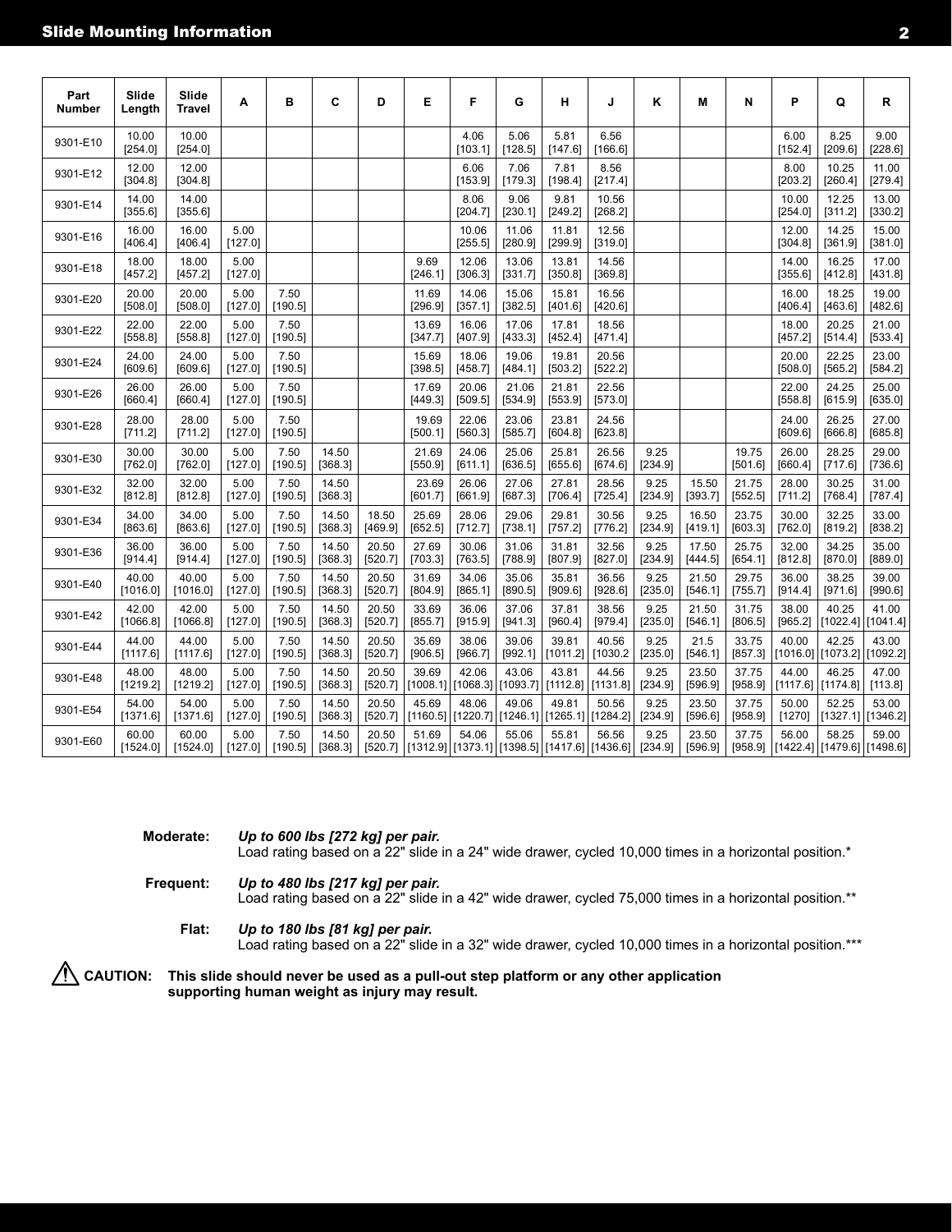| Part<br><b>Number</b> | Slide<br>Length   | Slide<br><b>Travel</b> | A               | в               | C                | D                | E                 | F                 | G                                   | н                | J                                                                           | ĸ               | М                | N                | P                                                                   | Q                                   | R                 |
|-----------------------|-------------------|------------------------|-----------------|-----------------|------------------|------------------|-------------------|-------------------|-------------------------------------|------------------|-----------------------------------------------------------------------------|-----------------|------------------|------------------|---------------------------------------------------------------------|-------------------------------------|-------------------|
| 9301-E10              | 10.00<br>[254.0]  | 10.00<br>[254.0]       |                 |                 |                  |                  |                   | 4.06<br>[103.1]   | 5.06<br>[128.5]                     | 5.81<br>[147.6]  | 6.56<br>[166.6]                                                             |                 |                  |                  | 6.00<br>[152.4]                                                     | 8.25<br>[209.6]                     | 9.00<br>[228.6]   |
| 9301-E12              | 12.00<br>[304.8]  | 12.00<br>[304.8]       |                 |                 |                  |                  |                   | 6.06<br>[153.9]   | 7.06<br>[179.3]                     | 7.81<br>[198.4]  | 8.56<br>[217.4]                                                             |                 |                  |                  | 8.00<br>[203.2]                                                     | 10.25<br>[260.4]                    | 11.00<br>[279.4]  |
| 9301-E14              | 14.00<br>[355.6]  | 14.00<br>[355.6]       |                 |                 |                  |                  |                   | 8.06<br>[204.7]   | 9.06<br>[230.1]                     | 9.81<br>[249.2]  | 10.56<br>[268.2]                                                            |                 |                  |                  | 10.00<br>[254.0]                                                    | 12.25<br>[311.2]                    | 13.00<br>[330.2]  |
| 9301-E16              | 16.00<br>[406.4]  | 16.00<br>[406.4]       | 5.00<br>[127.0] |                 |                  |                  |                   | 10.06<br>[255.5]  | 11.06<br>[280.9]                    | 11.81<br>[299.9] | 12.56<br>[319.0]                                                            |                 |                  |                  | 12.00<br>[304.8]                                                    | 14.25<br>[361.9]                    | 15.00<br>[381.0]  |
| 9301-E18              | 18.00<br>[457.2]  | 18.00<br>[457.2]       | 5.00<br>[127.0] |                 |                  |                  | 9.69<br>[246.1]   | 12.06<br>[306.3]  | 13.06<br>[331.7]                    | 13.81<br>[350.8] | 14.56<br>[369.8]                                                            |                 |                  |                  | 14.00<br>[355.6]                                                    | 16.25<br>[412.8]                    | 17.00<br>[431.8]  |
| 9301-E20              | 20.00<br>[508.0]  | 20.00<br>[508.0]       | 5.00<br>[127.0] | 7.50<br>[190.5] |                  |                  | 11.69<br>[296.9]  | 14.06<br>[357.1]  | 15.06<br>[382.5]                    | 15.81<br>[401.6] | 16.56<br>[420.6]                                                            |                 |                  |                  | 16.00<br>[406.4]                                                    | 18.25<br>[463.6]                    | 19.00<br>[482.6]  |
| 9301-E22              | 22.00<br>[558.8]  | 22.00<br>[558.8]       | 5.00<br>[127.0] | 7.50<br>[190.5] |                  |                  | 13.69<br>[347.7]  | 16.06<br>[407.9]  | 17.06<br>[433.3]                    | 17.81<br>[452.4] | 18.56<br>[471.4]                                                            |                 |                  |                  | 18.00<br>[457.2]                                                    | 20.25<br>[514.4]                    | 21.00<br>[533.4]  |
| 9301-E24              | 24.00<br>[609.6]  | 24.00<br>[609.6]       | 5.00<br>[127.0] | 7.50<br>[190.5] |                  |                  | 15.69<br>[398.5]  | 18.06<br>[458.7]  | 19.06<br>[484.1]                    | 19.81<br>[503.2] | 20.56<br>[522.2]                                                            |                 |                  |                  | 20.00<br>[508.0]                                                    | 22.25<br>[565.2]                    | 23.00<br>[584.2]  |
| 9301-E26              | 26.00<br>[660.4]  | 26.00<br>[660.4]       | 5.00<br>[127.0] | 7.50<br>[190.5] |                  |                  | 17.69<br>[449.3]  | 20.06<br>[509.5]  | 21.06<br>[534.9]                    | 21.81<br>[553.9] | 22.56<br>[573.0]                                                            |                 |                  |                  | 22.00<br>[558.8]                                                    | 24.25<br>[615.9]                    | 25.00<br>[635.0]  |
| 9301-E28              | 28.00<br>[711.2]  | 28.00<br>[711.2]       | 5.00<br>[127.0] | 7.50<br>[190.5] |                  |                  | 19.69<br>[500.1]  | 22.06<br>[560.3]  | 23.06<br>[585.7]                    | 23.81<br>[604.8] | 24.56<br>[623.8]                                                            |                 |                  |                  | 24.00<br>[609.6]                                                    | 26.25<br>[666.8]                    | 27.00<br>[685.8]  |
| 9301-E30              | 30.00<br>[762.0]  | 30.00<br>[762.0]       | 5.00<br>[127.0] | 7.50<br>[190.5] | 14.50<br>[368.3] |                  | 21.69<br>[550.9]  | 24.06<br>[611.1]  | 25.06<br>[636.5]                    | 25.81<br>[655.6] | 26.56<br>[674.6]                                                            | 9.25<br>[234.9] |                  | 19.75<br>[501.6] | 26.00<br>[660.4]                                                    | 28.25<br>[717.6]                    | 29.00<br>[736.6]  |
| 9301-E32              | 32.00<br>[812.8]  | 32.00<br>[812.8]       | 5.00<br>[127.0] | 7.50<br>[190.5] | 14.50<br>[368.3] |                  | 23.69<br>[601.7]  | 26.06<br>[661.9]  | 27.06<br>[687.3]                    | 27.81<br>[706.4] | 28.56<br>[725.4]                                                            | 9.25<br>[234.9] | 15.50<br>[393.7] | 21.75<br>[552.5] | 28.00<br>[711.2]                                                    | 30.25<br>[768.4]                    | 31.00<br>[787.4]  |
| 9301-E34              | 34.00<br>[863.6]  | 34.00<br>[863.6]       | 5.00<br>[127.0] | 7.50<br>[190.5] | 14.50<br>[368.3] | 18.50<br>[469.9] | 25.69<br>[652.5]  | 28.06<br>[712.7]  | 29.06<br>[738.1]                    | 29.81<br>[757.2] | 30.56<br>[776.2]                                                            | 9.25<br>[234.9] | 16.50<br>[419.1] | 23.75<br>[603.3] | 30.00<br>[762.0]                                                    | 32.25<br>[819.2]                    | 33.00<br>[838.2]  |
| 9301-E36              | 36.00<br>[914.4]  | 36.00<br>[914.4]       | 5.00<br>[127.0] | 7.50<br>[190.5] | 14.50<br>[368.3] | 20.50<br>[520.7] | 27.69<br>[703.3]  | 30.06<br>[763.5]  | 31.06<br>[788.9]                    | 31.81<br>[807.9] | 32.56<br>[827.0]                                                            | 9.25<br>[234.9] | 17.50<br>[444.5] | 25.75<br>[654.1] | 32.00<br>[812.8]                                                    | 34.25<br>[870.0]                    | 35.00<br>[889.0]  |
| 9301-E40              | 40.00<br>[1016.0] | 40.00<br>[1016.0]      | 5.00<br>[127.0] | 7.50<br>[190.5] | 14.50<br>[368.3] | 20.50<br>[520.7] | 31.69<br>[804.9]  | 34.06<br>[865.1]  | 35.06<br>[890.5]                    | 35.81<br>[909.6] | 36.56<br>[928.6]                                                            | 9.25<br>[235.0] | 21.50<br>[546.1] | 29.75<br>[755.7] | 36.00<br>[914.4]                                                    | 38.25<br>[971.6]                    | 39.00<br>[990.6]  |
| 9301-E42              | 42.00<br>[1066.8] | 42.00<br>[1066.8]      | 5.00<br>[127.0] | 7.50<br>[190.5] | 14.50<br>[368.3] | 20.50<br>[520.7] | 33.69<br>[855.7]  | 36.06<br>[915.9]  | 37.06<br>[941.3]                    | 37.81<br>[960.4] | 38.56<br>[979.4]                                                            | 9.25<br>[235.0] | 21.50<br>[546.1] | 31.75<br>[806.5] | 38.00<br>[965.2]                                                    | 40.25<br>[1022.4]                   | 41.00<br>[1041.4] |
| 9301-E44              | 44.00<br>[1117.6] | 44.00<br>[1117.6]      | 5.00<br>[127.0] | 7.50<br>[190.5] | 14.50<br>[368.3] | 20.50<br>[520.7] | 35.69<br>[906.5]  | 38.06<br>[966.7]  | 39.06<br>[992.1]                    | 39.81            | 40.56<br>$[1011.2]$ [1030.2]                                                | 9.25<br>[235.0] | 21.5<br>[546.1]  | 33.75<br>[857.3] | 40.00                                                               | 42.25<br>[1016.0] [1073.2] [1092.2] | 43.00             |
| 9301-E48              | 48.00<br>[1219.2] | 48.00<br>[1219.2]      | 5.00<br>[127.0] | 7.50<br>[190.5] | 14.50<br>[368.3] | 20.50<br>[520.7] | 39.69<br>[1008.1] | 42.06<br>[1068.3] | 43.06<br>[1093.7] [1112.8] [1131.8] | 43.81            | 44.56                                                                       | 9.25<br>[234.9] | 23.50<br>[596.9] | 37.75<br>[958.9] | 44.00                                                               | 46.25<br>$[1117.6]$ [1174.8]        | 47.00<br>[113.8]  |
| 9301-E54              | 54.00<br>[1371.6] | 54.00<br>[1371.6]      | 5.00<br>[127.0] | 7.50<br>[190.5] | 14.50<br>[368.3] | 20.50<br>[520.7] | 45.69<br>[1160.5] | 48.06<br>[1220.7] | 49.06<br>[1246.1]                   | 49.81            | 50.56<br>$[1265.1]$ [1284.2]                                                | 9.25<br>[234.9] | 23.50<br>[596.6] | 37.75<br>[958.9] | 50.00<br>[1270]                                                     | 52.25<br>[1327.1]                   | 53.00<br>[1346.2] |
| 9301-E60              | 60.00<br>[1524.0] | 60.00<br>[1524.0]      | 5.00<br>[127.0] | 7.50<br>[190.5] | 14.50<br>[368.3] | 20.50            | 51.69             | 54.06             | 55.06                               | 55.81            | 56.56<br>[520.7] [[1312.9] [[1373.1] [[1398.5] [[1417.6] [[1436.6] [[234.9] | 9.25            | 23.50<br>[596.9] | 37.75            | 56.00<br>[958.9] $\vert$ [1422.4] $\vert$ [1479.6] $\vert$ [1498.6] | 58.25                               | 59.00             |

| <b>Moderate:</b> | Up to 600 lbs [272 kg] per pair. |  |
|------------------|----------------------------------|--|
|                  |                                  |  |

Load rating based on a 22" slide in a 24" wide drawer, cycled 10,000 times in a horizontal position.\*

**Frequent:** *Up to 480 lbs [217 kg] per pair.*

Load rating based on a 22" slide in a 42" wide drawer, cycled 75,000 times in a horizontal position.\*\*

**Flat:** *Up to 180 lbs [81 kg] per pair.* Load rating based on a 22" slide in a 32" wide drawer, cycled 10,000 times in a horizontal position.\*\*\*

**Caution: This slide should never be used as a pull-out step platform or any other application supporting human weight as injury may result.**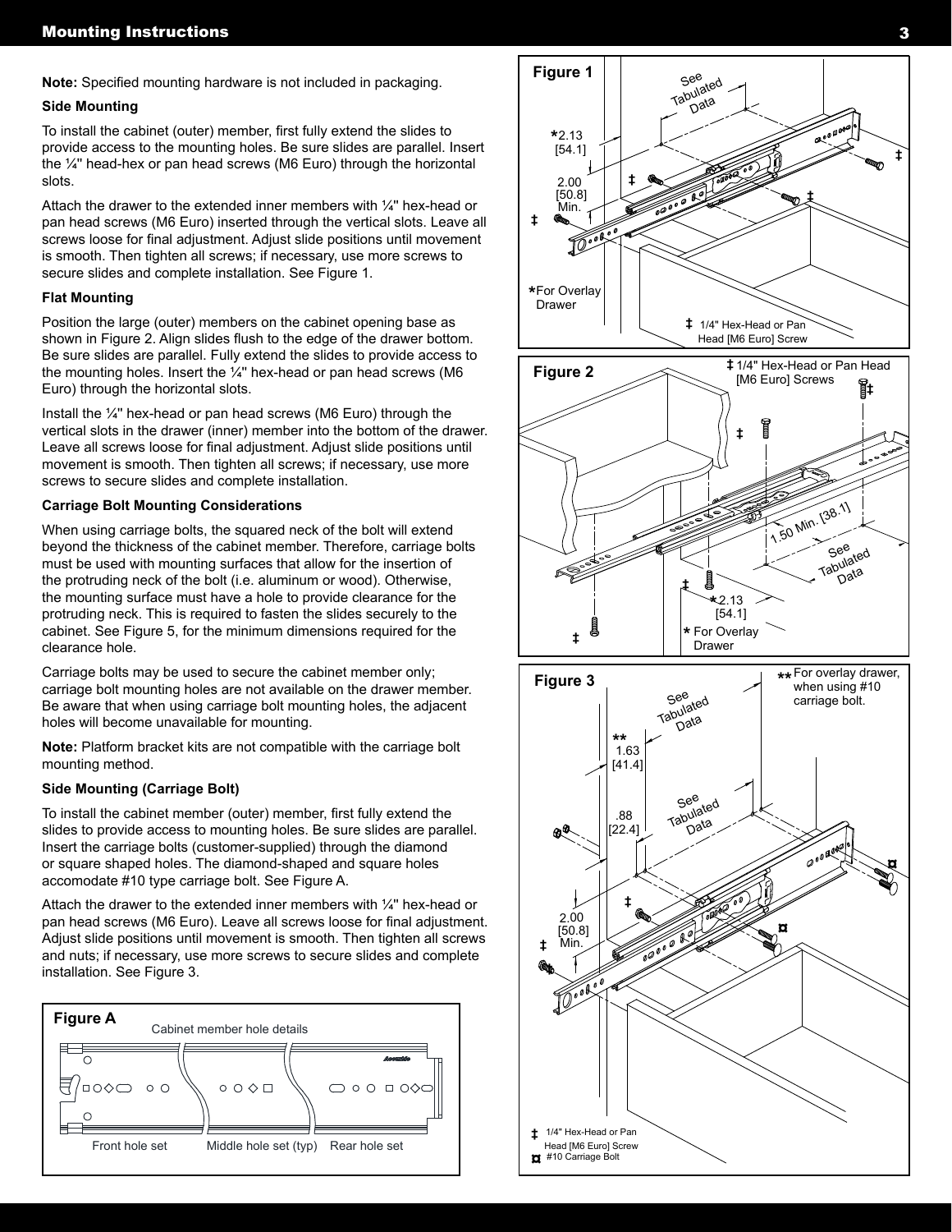**Note:** Specified mounting hardware is not included in packaging.

# **Side Mounting**

To install the cabinet (outer) member, first fully extend the slides to provide access to the mounting holes. Be sure slides are parallel. Insert the ¼'' head-hex or pan head screws (M6 Euro) through the horizontal slots.

Attach the drawer to the extended inner members with  $\frac{1}{4}$ " hex-head or pan head screws (M6 Euro) inserted through the vertical slots. Leave all screws loose for final adjustment. Adjust slide positions until movement is smooth. Then tighten all screws; if necessary, use more screws to secure slides and complete installation. See Figure 1.

#### **Flat Mounting**

Position the large (outer) members on the cabinet opening base as shown in Figure 2. Align slides flush to the edge of the drawer bottom. Be sure slides are parallel. Fully extend the slides to provide access to the mounting holes. Insert the ¼'' hex-head or pan head screws (M6 Euro) through the horizontal slots.

Install the ¼'' hex-head or pan head screws (M6 Euro) through the vertical slots in the drawer (inner) member into the bottom of the drawer. Leave all screws loose for final adjustment. Adjust slide positions until movement is smooth. Then tighten all screws; if necessary, use more screws to secure slides and complete installation.

#### **Carriage Bolt Mounting Considerations**

When using carriage bolts, the squared neck of the bolt will extend beyond the thickness of the cabinet member. Therefore, carriage bolts must be used with mounting surfaces that allow for the insertion of the protruding neck of the bolt (i.e. aluminum or wood). Otherwise, the mounting surface must have a hole to provide clearance for the protruding neck. This is required to fasten the slides securely to the cabinet. See Figure 5, for the minimum dimensions required for the clearance hole.

Carriage bolts may be used to secure the cabinet member only; carriage bolt mounting holes are not available on the drawer member. Be aware that when using carriage bolt mounting holes, the adjacent holes will become unavailable for mounting.

**Note:** Platform bracket kits are not compatible with the carriage bolt mounting method.

# **Side Mounting (Carriage Bolt)**

To install the cabinet member (outer) member, first fully extend the slides to provide access to mounting holes. Be sure slides are parallel. Insert the carriage bolts (customer-supplied) through the diamond or square shaped holes. The diamond-shaped and square holes accomodate #10 type carriage bolt. See Figure A.

Attach the drawer to the extended inner members with  $\frac{1}{4}$ " hex-head or pan head screws (M6 Euro). Leave all screws loose for final adjustment. Adjust slide positions until movement is smooth. Then tighten all screws and nuts; if necessary, use more screws to secure slides and complete installation. See Figure 3.